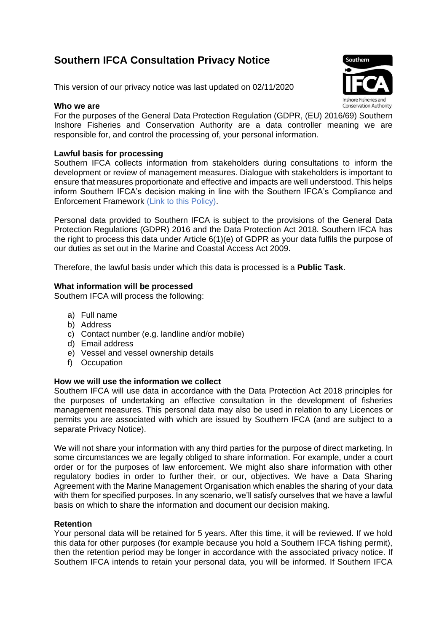# **Southern IFCA Consultation Privacy Notice**

This version of our privacy notice was last updated on 02/11/2020

## **Who we are**



For the purposes of the General Data Protection Regulation (GDPR, (EU) 2016/69) Southern Inshore Fisheries and Conservation Authority are a data controller meaning we are responsible for, and control the processing of, your personal information.

## **Lawful basis for processing**

Southern IFCA collects information from stakeholders during consultations to inform the development or review of management measures. Dialogue with stakeholders is important to ensure that measures proportionate and effective and impacts are well understood. This helps inform Southern IFCA's decision making in line with the Southern IFCA's Compliance and Enforcement Framework (Link to this Policy).

Personal data provided to Southern IFCA is subject to the provisions of the General Data Protection Regulations (GDPR) 2016 and the Data Protection Act 2018. Southern IFCA has the right to process this data under Article 6(1)(e) of GDPR as your data fulfils the purpose of our duties as set out in the Marine and Coastal Access Act 2009.

Therefore, the lawful basis under which this data is processed is a **Public Task**.

### **What information will be processed**

Southern IFCA will process the following:

- a) Full name
- b) Address
- c) Contact number (e.g. landline and/or mobile)
- d) Email address
- e) Vessel and vessel ownership details
- f) Occupation

#### **How we will use the information we collect**

Southern IFCA will use data in accordance with the Data Protection Act 2018 principles for the purposes of undertaking an effective consultation in the development of fisheries management measures. This personal data may also be used in relation to any Licences or permits you are associated with which are issued by Southern IFCA (and are subject to a separate Privacy Notice).

We will not share your information with any third parties for the purpose of direct marketing. In some circumstances we are legally obliged to share information. For example, under a court order or for the purposes of law enforcement. We might also share information with other regulatory bodies in order to further their, or our, objectives. We have a Data Sharing Agreement with the Marine Management Organisation which enables the sharing of your data with them for specified purposes. In any scenario, we'll satisfy ourselves that we have a lawful basis on which to share the information and document our decision making.

#### **Retention**

Your personal data will be retained for 5 years. After this time, it will be reviewed. If we hold this data for other purposes (for example because you hold a Southern IFCA fishing permit), then the retention period may be longer in accordance with the associated privacy notice. If Southern IFCA intends to retain your personal data, you will be informed. If Southern IFCA